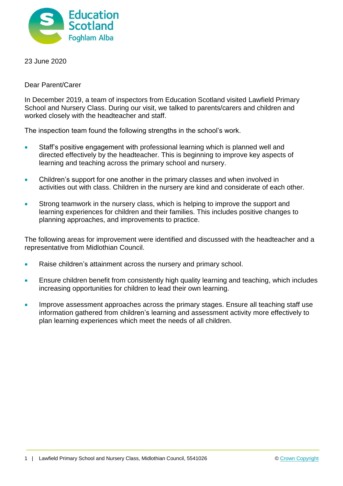

23 June 2020

Dear Parent/Carer

In December 2019, a team of inspectors from Education Scotland visited Lawfield Primary School and Nursery Class. During our visit, we talked to parents/carers and children and worked closely with the headteacher and staff.

The inspection team found the following strengths in the school's work.

- Staff's positive engagement with professional learning which is planned well and directed effectively by the headteacher. This is beginning to improve key aspects of learning and teaching across the primary school and nursery.
- Children's support for one another in the primary classes and when involved in activities out with class. Children in the nursery are kind and considerate of each other.
- Strong teamwork in the nursery class, which is helping to improve the support and learning experiences for children and their families. This includes positive changes to planning approaches, and improvements to practice.

The following areas for improvement were identified and discussed with the headteacher and a representative from Midlothian Council.

- Raise children's attainment across the nursery and primary school.
- Ensure children benefit from consistently high quality learning and teaching, which includes increasing opportunities for children to lead their own learning.
- Improve assessment approaches across the primary stages. Ensure all teaching staff use information gathered from children's learning and assessment activity more effectively to plan learning experiences which meet the needs of all children.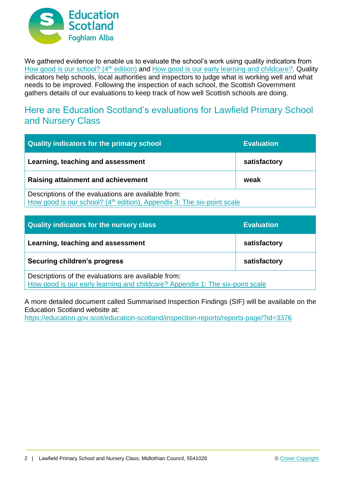

We gathered evidence to enable us to evaluate the school's work using quality indicators from [How good is our school? \(4](https://education.gov.scot/improvement/Documents/Frameworks_SelfEvaluation/FRWK2_NIHeditHGIOS/FRWK2_HGIOS4.pdf)<sup>th</sup> edition) and [How good is our early learning and childcare?.](https://education.gov.scot/improvement/Documents/Frameworks_SelfEvaluation/FRWK1_NIHeditSelf-evaluationHGIELC/HGIOELC020316Revised.pdf) Quality indicators help schools, local authorities and inspectors to judge what is working well and what needs to be improved. Following the inspection of each school, the Scottish Government gathers details of our evaluations to keep track of how well Scottish schools are doing.

## Here are Education Scotland's evaluations for Lawfield Primary School and Nursery Class

| Quality indicators for the primary school                                                                                                 | <b>Evaluation</b> |
|-------------------------------------------------------------------------------------------------------------------------------------------|-------------------|
| Learning, teaching and assessment                                                                                                         | satisfactory      |
| <b>Raising attainment and achievement</b>                                                                                                 | weak              |
| Descriptions of the evaluations are available from:<br>How good is our school? (4 <sup>th</sup> edition), Appendix 3: The six-point scale |                   |

| Quality indicators for the nursery class                                                                                             | <b>Evaluation</b> |
|--------------------------------------------------------------------------------------------------------------------------------------|-------------------|
| Learning, teaching and assessment                                                                                                    | satisfactory      |
| Securing children's progress                                                                                                         | satisfactory      |
| Descriptions of the evaluations are available from:<br>How good is our early learning and childcare? Appendix 1: The six-point scale |                   |

A more detailed document called Summarised Inspection Findings (SIF) will be available on the Education Scotland website at:

<https://education.gov.scot/education-scotland/inspection-reports/reports-page/?id=3376>